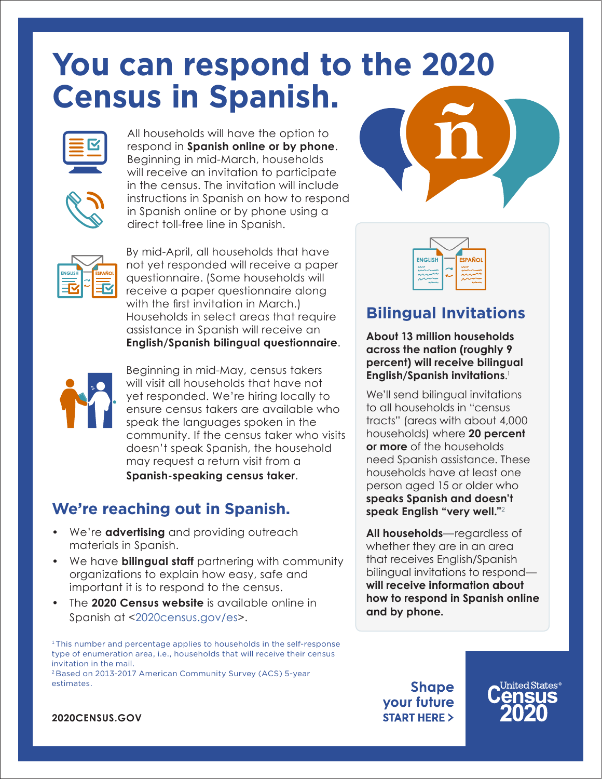# **You can respond to the 2020 Census in Spanish.**





All households will have the option to respond in **Spanish online or by phone**. Beginning in mid-March, households will receive an invitation to participate in the census. The invitation will include instructions in Spanish on how to respond in Spanish online or by phone using a direct toll-free line in Spanish.



By mid-April, all households that have not yet responded will receive a paper questionnaire. (Some households will receive a paper questionnaire along with the first invitation in March.) Households in select areas that require assistance in Spanish will receive an **English/Spanish bilingual questionnaire**.



Beginning in mid-May, census takers will visit all households that have not yet responded. We're hiring locally to ensure census takers are available who speak the languages spoken in the community. If the census taker who visits doesn't speak Spanish, the household may request a return visit from a **Spanish-speaking census taker**.

### **We're reaching out in Spanish.**

- We're **advertising** and providing outreach materials in Spanish.
- We have **bilingual staff** partnering with community organizations to explain how easy, safe and important it is to respond to the census.
- The **2020 Census website** is available online in Spanish at <[2020census.gov/es](https://2020census.gov/es.html)>.

<sup>1</sup>This number and percentage applies to households in the self-response type of enumeration area, i.e., households that will receive their census invitation in the mail.

2 Based on 2013-2017 American Community Survey (ACS) 5-year estimates.



| <b>ENGLISH</b> |  | <b>ESPAÑOL</b> |
|----------------|--|----------------|
|                |  |                |
|                |  |                |
|                |  |                |

### **Bilingual Invitations**

**About 13 million households across the nation (roughly 9 percent) will receive bilingual English/Spanish invitations**. 1

We'll send bilingual invitations to all households in "census tracts" (areas with about 4,000 households) where **20 percent or more** of the households need Spanish assistance. These households have at least one person aged 15 or older who **speaks Spanish and doesn't speak English "very well."**<sup>2</sup>

**All households**—regardless of whether they are in an area that receives English/Spanish bilingual invitations to respond **will receive information about how to respond in Spanish online and by phone.**

**Shape** your future **START HERE >** 



**2020CENSUS.GOV**